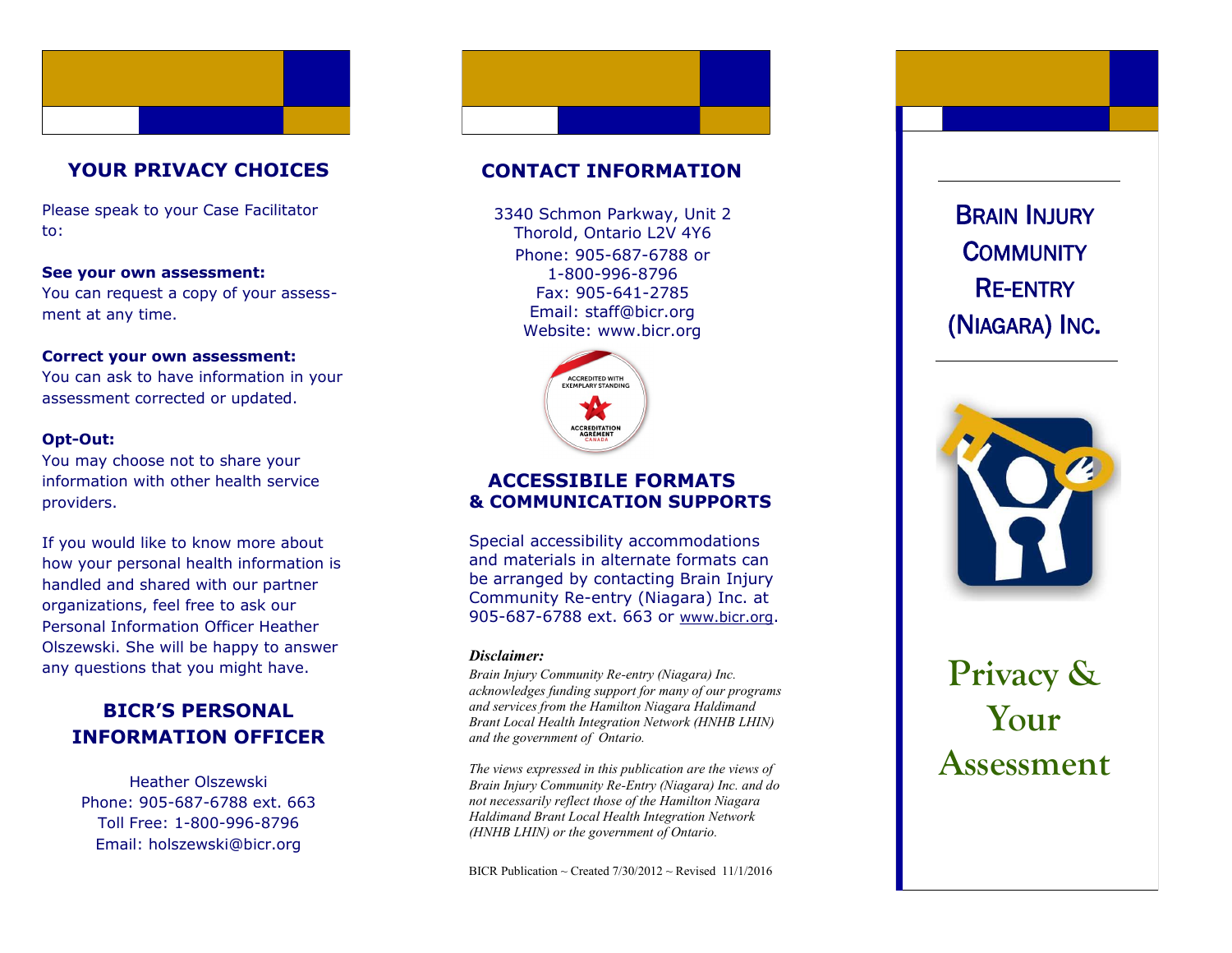

# **YOUR PRIVACY CHOICES**

Please speak to your Case Facilitator to:

## **See your own assessment:**

You can request a copy of your assess ment at any time.

#### **Correct your own assessment:**

You can ask to have information in your assessment corrected or updated.

## **Opt -Out:**

You may choose not to share your information with other health service providers.

If you would like to know more about how your personal health information is handled and shared with our partner organizations, feel free to ask our Personal Information Officer Heather Olszewski. She will be happy to answer any questions that you might have.

# **BICR'S PERSONAL INFORMATION OFFICER**

Heather Olszewski Phone: 905 -687 -6788 ext. 663 Toll Free: 1 -800 -996 -8796 Email: holszewski@bicr.org

## **CONTACT INFORMATION**

Phone: 905 -687 -6788 or 1 -800 -996 -8796 Fax: 905 -641 -2785 Email: staff@bicr.org Website: www.bicr.org 3340 Schmon Parkway, Unit 2 Thorold, Ontario L2V 4Y6



## **ACCESSIBILE FORMATS & COMMUNICATION SUPPORTS**

Special accessibility accommodations and materials in alternate formats can be arranged by contacting Brain Injury Community Re -entry (Niagara) Inc. at 905-687-6788 ext. 663 or [www.bicr.org](http://www.bicr.org).

#### *Disclaimer:*

*Brain Injury Community Re -entry (Niagara) Inc. acknowledges funding support for many of our programs and services from the Hamilton Niagara Haldimand Brant Local Health Integration Network (HNHB LHIN) and the government of Ontario.* 

*The views expressed in this publication are the views of Brain Injury Community Re -Entry (Niagara) Inc. and do not necessarily reflect those of the Hamilton Niagara Haldimand Brant Local Health Integration Network (HNHB LHIN) or the government of Ontario.* 

BICR Publication ~ Created  $7/30/2012$  ~ Revised 11/1/2016

(NIAGARA) INC .



# **Privacy & Your**